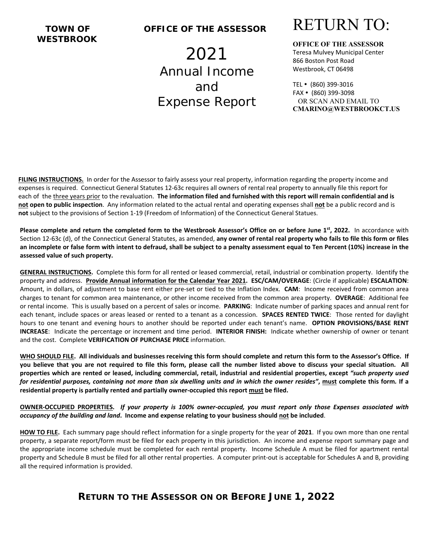# **WESTBROOK**

#### **TOWN OF OFFICE OF THE ASSESSOR**

2021 Annual Income and Expense Report



**OFFICE OF THE ASSESSOR**  Teresa Mulvey Municipal Center 866 Boston Post Road Westbrook, CT 06498

TEL (860) 399‐3016 FAX (860) 399‐3098 OR SCAN AND EMAIL TO **CMARINO@WESTBROOKCT.US**

**FILING INSTRUCTIONS.** In order for the Assessor to fairly assess your real property, information regarding the property income and expenses is required. Connecticut General Statutes 12‐63c requires all owners of rental real property to annually file this report for each of the three years prior to the revaluation. **The information filed and furnished with this report will remain confidential and is not open to public inspection**. Any information related to the actual rental and operating expenses shall **not** be a public record and is  **not** subject to the provisions of Section 1‐19 (Freedom of Information) of the Connecticut General Statues.

**Please complete and return the completed form to the Westbrook Assessor's Office on or before June 1<sup>st</sup>, 2022. In accordance with** Section 12‐63c (d), of the Connecticut General Statutes, as amended, **any owner of rental real property who fails to file this form or files an incomplete or false form with intent to defraud, shall be subject to a penalty assessment equal to Ten Percent (10%) increase in the assessed value of such property.** 

**GENERAL INSTRUCTIONS.** Complete this form for all rented or leased commercial, retail, industrial or combination property. Identify the property and address. **Provide Annual information for the Calendar Year 2021. ESC/CAM/OVERAGE**: (Circle if applicable) **ESCALATION**: Amount, in dollars, of adjustment to base rent either pre‐set or tied to the Inflation Index. **CAM**: Income received from common area charges to tenant for common area maintenance, or other income received from the common area property. **OVERAGE**: Additional fee or rental income. This is usually based on a percent of sales or income. **PARKING**: Indicate number of parking spaces and annual rent for each tenant, include spaces or areas leased or rented to a tenant as a concession. **SPACES RENTED TWICE**: Those rented for daylight hours to one tenant and evening hours to another should be reported under each tenant's name. **OPTION PROVISIONS/BASE RENT INCREASE**: Indicate the percentage or increment and time period. **INTERIOR FINISH:** Indicate whether ownership of owner or tenant and the cost. Complete **VERIFICATION OF PURCHASE PRICE** information.

**WHO SHOULD FILE. All individuals and businesses receiving this form should complete and return this form to the Assessor's Office. If you believe that you are not required to file this form, please call the number listed above to discuss your special situation. All properties which are rented or leased, including commercial, retail, industrial and residential properties, except** *"such property used for residential purposes, containing not more than six dwelling units and in which the owner resides"***, must complete this form***.* **If a residential property is partially rented and partially owner‐occupied this report must be filed.** 

**OWNER‐OCCUPIED PROPERTIES.**  *If your property is 100% owner‐occupied, you must report only those Expenses associated with occupancy of the building and land***. Income and expense relating to your business should not be included**.

**HOW TO FILE.** Each summary page should reflect information for a single property for the year of **2021**. If you own more than one rental property, a separate report/form must be filed for each property in this jurisdiction. An income and expense report summary page and the appropriate income schedule must be completed for each rental property. Income Schedule A must be filed for apartment rental property and Schedule B must be filed for all other rental properties. A computer print-out is acceptable for Schedules A and B, providing all the required information is provided.

#### **RETURN TO THE ASSESSOR ON OR BEFORE JUNE 1, 2022**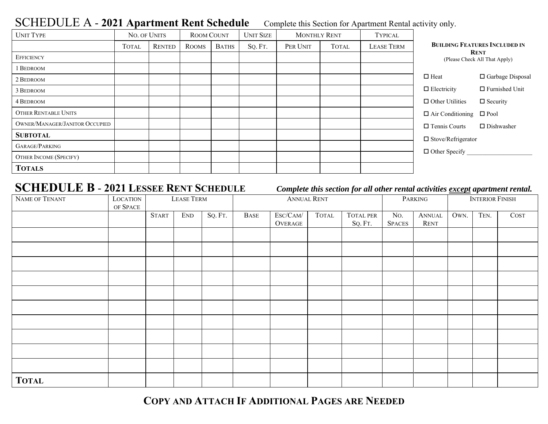### SCHEDULE A - 2021 Apartment Rent Schedule Complete this Section for Apartment Rental activity only.

| <b>UNIT TYPE</b>                      | NO. OF UNITS |               | <b>ROOM COUNT</b> |              | <b>UNIT SIZE</b> | <b>MONTHLY RENT</b> |              | <b>TYPICAL</b>    |                                              |                                      |  |
|---------------------------------------|--------------|---------------|-------------------|--------------|------------------|---------------------|--------------|-------------------|----------------------------------------------|--------------------------------------|--|
|                                       | <b>TOTAL</b> | <b>RENTED</b> | <b>ROOMS</b>      | <b>BATHS</b> | SQ. FT.          | PER UNIT            | <b>TOTAL</b> | <b>LEASE TERM</b> |                                              | <b>BUILDING FEATURES INCLUDED IN</b> |  |
| <b>EFFICIENCY</b>                     |              |               |                   |              |                  |                     |              |                   | <b>RENT</b><br>(Please Check All That Apply) |                                      |  |
| <b>BEDROOM</b>                        |              |               |                   |              |                  |                     |              |                   |                                              |                                      |  |
| 2 BEDROOM                             |              |               |                   |              |                  |                     |              |                   | $\Box$ Heat                                  | □ Garbage Disposal                   |  |
| 3 BEDROOM                             |              |               |                   |              |                  |                     |              |                   | $\Box$ Electricity                           | $\Box$ Furnished Unit                |  |
| 4 BEDROOM                             |              |               |                   |              |                  |                     |              |                   | $\Box$ Other Utilities                       | $\Box$ Security                      |  |
| <b>OTHER RENTABLE UNITS</b>           |              |               |                   |              |                  |                     |              |                   | $\Box$ Air Conditioning $\Box$ Pool          |                                      |  |
| <b>OWNER/MANAGER/JANITOR OCCUPIED</b> |              |               |                   |              |                  |                     |              |                   | $\Box$ Tennis Courts                         | $\Box$ Dishwasher                    |  |
| <b>SUBTOTAL</b>                       |              |               |                   |              |                  |                     |              |                   | $\Box$ Stove/Refrigerator                    |                                      |  |
| GARAGE/PARKING                        |              |               |                   |              |                  |                     |              |                   |                                              |                                      |  |
| <b>OTHER INCOME (SPECIFY)</b>         |              |               |                   |              |                  |                     |              |                   | $\Box$ Other Specify                         |                                      |  |
| <b>TOTALS</b>                         |              |               |                   |              |                  |                     |              |                   |                                              |                                      |  |

## **SCHEDULE B** - **2021 LESSEE RENT SCHEDULE**

#### *Complete this section for all other rental activities except apartment rental.*

| NAME OF TENANT | LOCATION<br>OF SPACE | <b>LEASE TERM</b> |            |         | <b>ANNUAL RENT</b> |                     |              |                             | PARKING              |                       | <b>INTERIOR FINISH</b> |      |      |
|----------------|----------------------|-------------------|------------|---------|--------------------|---------------------|--------------|-----------------------------|----------------------|-----------------------|------------------------|------|------|
|                |                      | <b>START</b>      | <b>END</b> | SQ. FT. | <b>BASE</b>        | ESC/CAM/<br>OVERAGE | <b>TOTAL</b> | <b>TOTAL PER</b><br>SQ. FT. | No.<br><b>SPACES</b> | <b>ANNUAL</b><br>RENT | OWN.                   | TEN. | COST |
|                |                      |                   |            |         |                    |                     |              |                             |                      |                       |                        |      |      |
|                |                      |                   |            |         |                    |                     |              |                             |                      |                       |                        |      |      |
|                |                      |                   |            |         |                    |                     |              |                             |                      |                       |                        |      |      |
|                |                      |                   |            |         |                    |                     |              |                             |                      |                       |                        |      |      |
|                |                      |                   |            |         |                    |                     |              |                             |                      |                       |                        |      |      |
|                |                      |                   |            |         |                    |                     |              |                             |                      |                       |                        |      |      |
|                |                      |                   |            |         |                    |                     |              |                             |                      |                       |                        |      |      |
|                |                      |                   |            |         |                    |                     |              |                             |                      |                       |                        |      |      |
|                |                      |                   |            |         |                    |                     |              |                             |                      |                       |                        |      |      |
|                |                      |                   |            |         |                    |                     |              |                             |                      |                       |                        |      |      |
| <b>TOTAL</b>   |                      |                   |            |         |                    |                     |              |                             |                      |                       |                        |      |      |

**COPY AND ATTACH IF ADDITIONAL PAGES ARE NEEDED**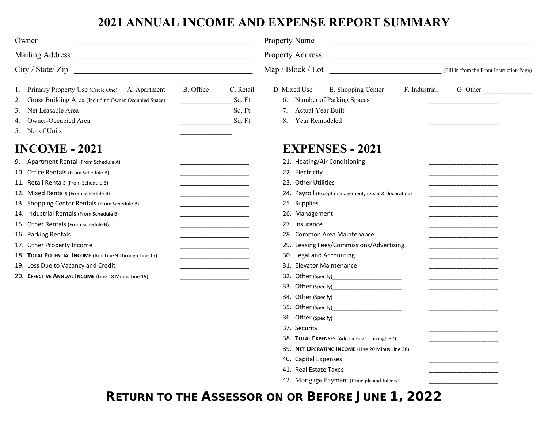## **2021 ANNUAL INCOME AND EXPENSE REPORT SUMMARY**

| Owner                                                                                                                                                                                                                                                                                                                                                                                                                                                                                                                                                                                                                                                                                                                     |                                                                                                                                                        | <b>Property Name</b><br><b>Property Address</b><br><u> 1989 - Johann Barbara, martxa alemaniar arg</u>                                                                                                                                                                                                                                                                                                                                                                                                  |                                                  |  |  |  |  |  |
|---------------------------------------------------------------------------------------------------------------------------------------------------------------------------------------------------------------------------------------------------------------------------------------------------------------------------------------------------------------------------------------------------------------------------------------------------------------------------------------------------------------------------------------------------------------------------------------------------------------------------------------------------------------------------------------------------------------------------|--------------------------------------------------------------------------------------------------------------------------------------------------------|---------------------------------------------------------------------------------------------------------------------------------------------------------------------------------------------------------------------------------------------------------------------------------------------------------------------------------------------------------------------------------------------------------------------------------------------------------------------------------------------------------|--------------------------------------------------|--|--|--|--|--|
|                                                                                                                                                                                                                                                                                                                                                                                                                                                                                                                                                                                                                                                                                                                           |                                                                                                                                                        |                                                                                                                                                                                                                                                                                                                                                                                                                                                                                                         |                                                  |  |  |  |  |  |
| City / State / Zip                                                                                                                                                                                                                                                                                                                                                                                                                                                                                                                                                                                                                                                                                                        |                                                                                                                                                        | Map / Block / Lot<br>(Fill in from the Front Instruction Page)                                                                                                                                                                                                                                                                                                                                                                                                                                          |                                                  |  |  |  |  |  |
| 1. Primary Property Use (Circle One) A. Apartment<br>2. Gross Building Area (Including Owner-Occupied Space)<br>3. Net Leasable Area<br>4. Owner-Occupied Area<br>5. No. of Units<br><b>INCOME - 2021</b><br>9. Apartment Rental (From Schedule A)<br>10. Office Rentals (From Schedule B)<br>11. Retail Rentals (From Schedule B)<br>12. Mixed Rentals (From Schedule B)<br>13. Shopping Center Rentals (From Schedule B)<br>14. Industrial Rentals (From Schedule B)<br>15. Other Rentals (From Schedule B)<br>16. Parking Rentals<br>17. Other Property Income<br>18. TOTAL POTENTIAL INCOME (Add Line 9 Through Line 17)<br>19. Loss Due to Vacancy and Credit<br>20. EFFECTIVE ANNUAL INCOME (Line 18 Minus Line 19) | B. Office<br>C. Retail<br>Sq. Ft.<br>Sq. Ft.<br>Sq. Ft.<br><u> 1989 - Johann Barbara, martxa alemani</u> ar<br><u> 1989 - Johann Barbara, martin a</u> | D. Mixed Use<br>E. Shopping Center<br>F. Industrial<br>6. Number of Parking Spaces<br>Actual Year Built<br>7.<br>Year Remodeled<br>8.<br><b>EXPENSES - 2021</b><br>21. Heating/Air Conditioning<br>22. Electricity<br>23. Other Utilities<br>24. Payroll (Except management, repair & decorating)<br>25. Supplies<br>26. Management<br>27. Insurance<br>28. Common Area Maintenance<br>29. Leasing Fees/Commissions/Advertising<br>30. Legal and Accounting<br>31. Elevator Maintenance<br>37. Security | G. Other                                         |  |  |  |  |  |
|                                                                                                                                                                                                                                                                                                                                                                                                                                                                                                                                                                                                                                                                                                                           |                                                                                                                                                        | 38. TOTAL EXPENSES (Add Lines 21 Through 37)<br>39. NET OPERATING INCOME (Line 20 Minus Line 38)<br>40. Capital Expenses                                                                                                                                                                                                                                                                                                                                                                                | the control of the control of the control of the |  |  |  |  |  |
|                                                                                                                                                                                                                                                                                                                                                                                                                                                                                                                                                                                                                                                                                                                           |                                                                                                                                                        | 41. Real Estate Taxes<br>42. Mortgage Payment (Principle and Interest)                                                                                                                                                                                                                                                                                                                                                                                                                                  |                                                  |  |  |  |  |  |

**RETURN TO THE ASSESSOR ON OR BEFORE JUNE 1, 2022**